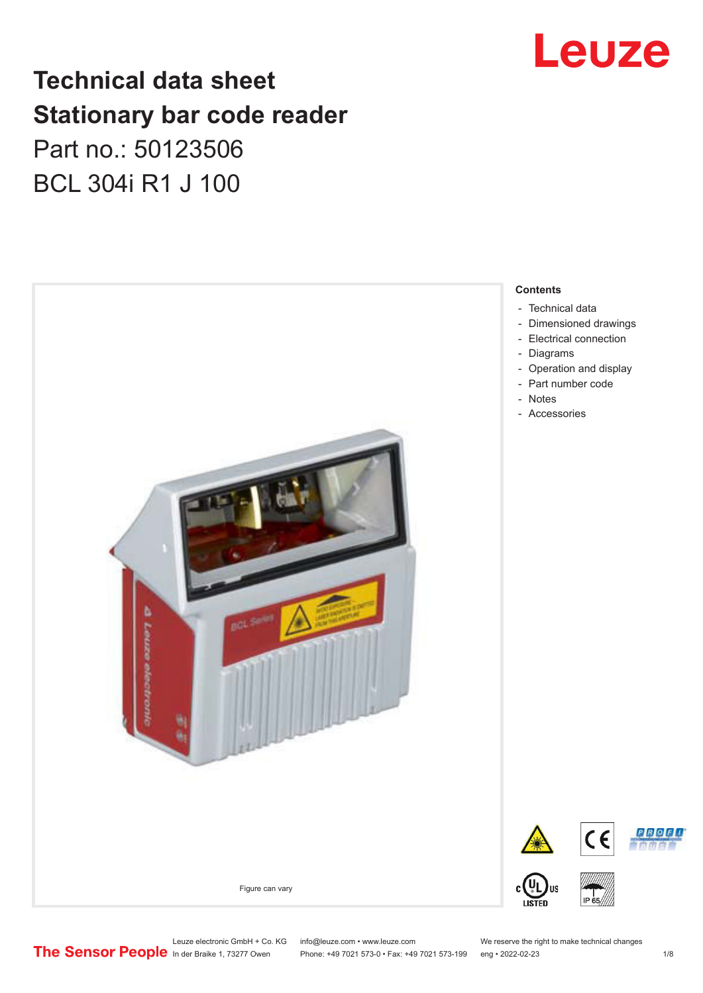

## **Technical data sheet Stationary bar code reader** Part no.: 50123506 BCL 304i R1 J 100



Leuze electronic GmbH + Co. KG info@leuze.com • www.leuze.com We reserve the right to make technical changes<br>
The Sensor People in der Braike 1, 73277 Owen Phone: +49 7021 573-0 • Fax: +49 7021 573-199 eng • 2022-02-23

Phone: +49 7021 573-0 • Fax: +49 7021 573-199 eng • 2022-02-23 1 /8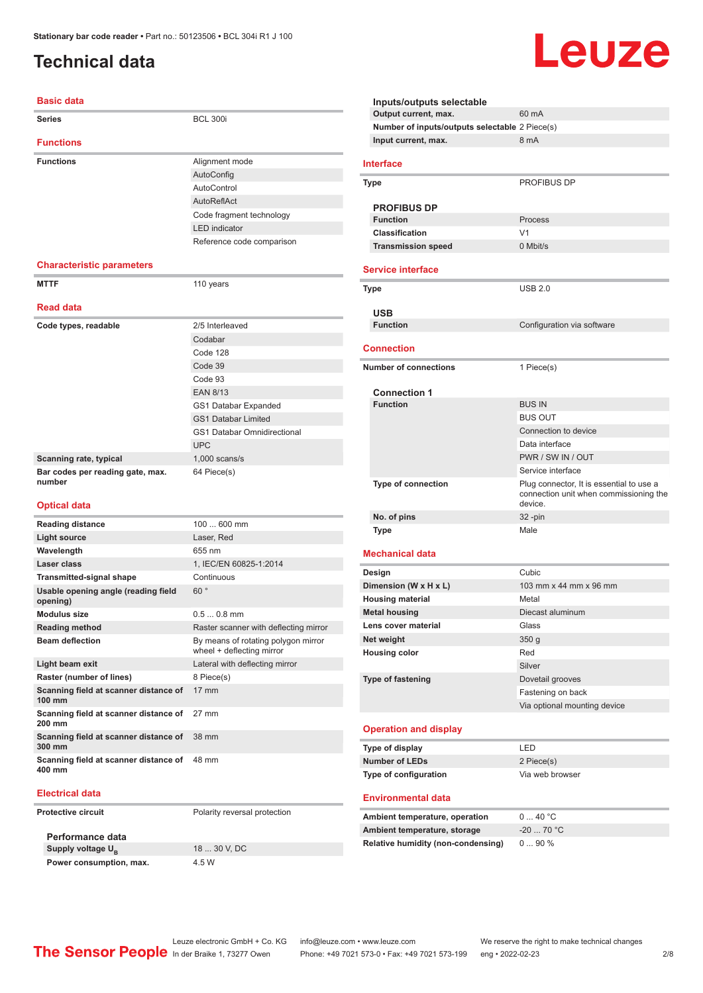### <span id="page-1-0"></span>**Technical data**

#### **Basic data**

| <b>Series</b>                              | <b>BCL 300i</b>             |
|--------------------------------------------|-----------------------------|
| <b>Functions</b>                           |                             |
| <b>Functions</b>                           | Alignment mode              |
|                                            | AutoConfig                  |
|                                            | AutoControl                 |
|                                            | AutoReflAct                 |
|                                            | Code fragment technology    |
|                                            | <b>LED</b> indicator        |
|                                            | Reference code comparison   |
| <b>Characteristic parameters</b>           |                             |
| <b>MTTF</b>                                | 110 years                   |
| <b>Read data</b>                           |                             |
| Code types, readable                       | 2/5 Interleaved             |
|                                            | Codabar                     |
|                                            | Code 128                    |
|                                            | Code 39                     |
|                                            | Code 93                     |
|                                            | <b>EAN 8/13</b>             |
|                                            | GS1 Databar Expanded        |
|                                            | <b>GS1 Databar Limited</b>  |
|                                            | GS1 Databar Omnidirectional |
|                                            | <b>UPC</b>                  |
| Scanning rate, typical                     | $1,000$ scans/s             |
| Bar codes per reading gate, max.<br>number | 64 Piece(s)                 |
| <b>Optical data</b>                        |                             |
| <b>Reading distance</b>                    | 100  600 mm                 |
|                                            | $ -$                        |

| nouuniy uivunoo                                           |                                                                  |
|-----------------------------------------------------------|------------------------------------------------------------------|
| Light source                                              | Laser, Red                                                       |
| Wavelength                                                | 655 nm                                                           |
| Laser class                                               | 1, IEC/EN 60825-1:2014                                           |
| <b>Transmitted-signal shape</b>                           | Continuous                                                       |
| Usable opening angle (reading field<br>opening)           | 60°                                                              |
| Modulus size                                              | $0.50.8$ mm                                                      |
| <b>Reading method</b>                                     | Raster scanner with deflecting mirror                            |
| <b>Beam deflection</b>                                    | By means of rotating polygon mirror<br>wheel + deflecting mirror |
| Light beam exit                                           | Lateral with deflecting mirror                                   |
| Raster (number of lines)                                  | 8 Piece(s)                                                       |
| Scanning field at scanner distance of<br>$100 \text{ mm}$ | $17 \text{ mm}$                                                  |
| Scanning field at scanner distance of<br>$200 \text{ mm}$ | 27 mm                                                            |
| Scanning field at scanner distance of<br>300 mm           | 38 mm                                                            |
| Scanning field at scanner distance of<br>400 mm           | 48 mm                                                            |

#### **Electrical data**

**Protective circuit** Polarity reversal protection

**Performance data Supply voltage U<sub>B</sub> Power consumption, max.** 4.5 W

18 ... 30 V, DC

| Inputs/outputs selectable                      |                                                                                               |
|------------------------------------------------|-----------------------------------------------------------------------------------------------|
| Output current, max.                           | 60 mA                                                                                         |
| Number of inputs/outputs selectable 2 Piece(s) |                                                                                               |
| Input current, max.                            | 8 mA                                                                                          |
| Interface                                      |                                                                                               |
| Type                                           | <b>PROFIBUS DP</b>                                                                            |
| <b>PROFIBUS DP</b>                             |                                                                                               |
| <b>Function</b>                                | Process                                                                                       |
| <b>Classification</b>                          | V <sub>1</sub>                                                                                |
| <b>Transmission speed</b>                      | $0$ Mbit/s                                                                                    |
| <b>Service interface</b>                       |                                                                                               |
|                                                |                                                                                               |
| Type                                           | <b>USB 2.0</b>                                                                                |
| USB                                            |                                                                                               |
| <b>Function</b>                                | Configuration via software                                                                    |
| <b>Connection</b>                              |                                                                                               |
| <b>Number of connections</b>                   | 1 Piece(s)                                                                                    |
|                                                |                                                                                               |
| <b>Connection 1</b><br><b>Function</b>         | <b>BUS IN</b>                                                                                 |
|                                                | <b>BUS OUT</b>                                                                                |
|                                                |                                                                                               |
|                                                | Connection to device                                                                          |
|                                                | Data interface<br>PWR / SW IN / OUT                                                           |
|                                                |                                                                                               |
|                                                | Service interface                                                                             |
| <b>Type of connection</b>                      | Plug connector, It is essential to use a<br>connection unit when commissioning the<br>device. |
| No. of pins                                    | $32 - pin$                                                                                    |
| Type                                           | Male                                                                                          |
| <b>Mechanical data</b>                         |                                                                                               |
| Design                                         | Cubic                                                                                         |
| Dimension (W x H x L)                          | 103 mm x 44 mm x 96 mm                                                                        |
| <b>Housing material</b>                        | Metal                                                                                         |
| <b>Metal housing</b>                           | Diecast aluminum                                                                              |
| Lens cover material                            | Glass                                                                                         |
| Net weight                                     | 350 <sub>g</sub>                                                                              |
| <b>Housing color</b>                           | Red                                                                                           |
|                                                | Silver                                                                                        |
| <b>Type of fastening</b>                       | Dovetail grooves                                                                              |
|                                                | Fastening on back                                                                             |
|                                                | Via optional mounting device                                                                  |
| <b>Operation and display</b>                   |                                                                                               |
| Type of display                                | LED                                                                                           |
| <b>Number of LEDs</b>                          | 2 Piece(s)                                                                                    |
| Type of configuration                          | Via web browser                                                                               |
| <b>Environmental data</b>                      |                                                                                               |
| Ambient temperature, operation                 | 040 °C                                                                                        |
| Ambient temperature, storage                   | $-20$ 70 °C                                                                                   |
| <b>Relative humidity (non-condensing)</b>      | 090%                                                                                          |
|                                                |                                                                                               |

Leuze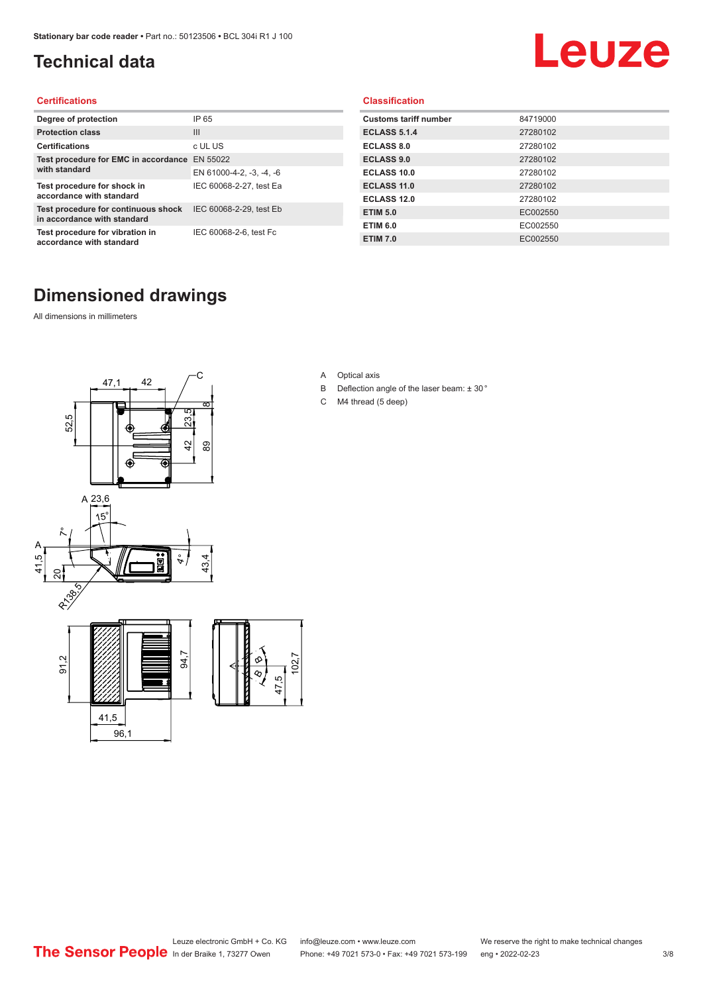### <span id="page-2-0"></span>**Technical data**

# Leuze

#### **Certifications**

| Degree of protection                                               | IP 65                    |
|--------------------------------------------------------------------|--------------------------|
| <b>Protection class</b>                                            | Ш                        |
| <b>Certifications</b>                                              | c UL US                  |
| Test procedure for EMC in accordance<br>with standard              | EN 55022                 |
|                                                                    | EN 61000-4-2, -3, -4, -6 |
| Test procedure for shock in<br>accordance with standard            | IEC 60068-2-27, test Ea  |
| Test procedure for continuous shock<br>in accordance with standard | IEC 60068-2-29, test Eb  |
| Test procedure for vibration in<br>accordance with standard        | IEC 60068-2-6, test Fc   |

#### **Classification**

| <b>Customs tariff number</b> | 84719000 |
|------------------------------|----------|
| <b>ECLASS 5.1.4</b>          | 27280102 |
| <b>ECLASS 8.0</b>            | 27280102 |
| <b>ECLASS 9.0</b>            | 27280102 |
| ECLASS 10.0                  | 27280102 |
| <b>ECLASS 11.0</b>           | 27280102 |
| ECLASS 12.0                  | 27280102 |
| <b>ETIM 5.0</b>              | EC002550 |
| <b>ETIM 6.0</b>              | EC002550 |
| <b>ETIM 7.0</b>              | EC002550 |

### **Dimensioned drawings**

All dimensions in millimeters





- B Deflection angle of the laser beam: ± 30 °
- C M4 thread (5 deep)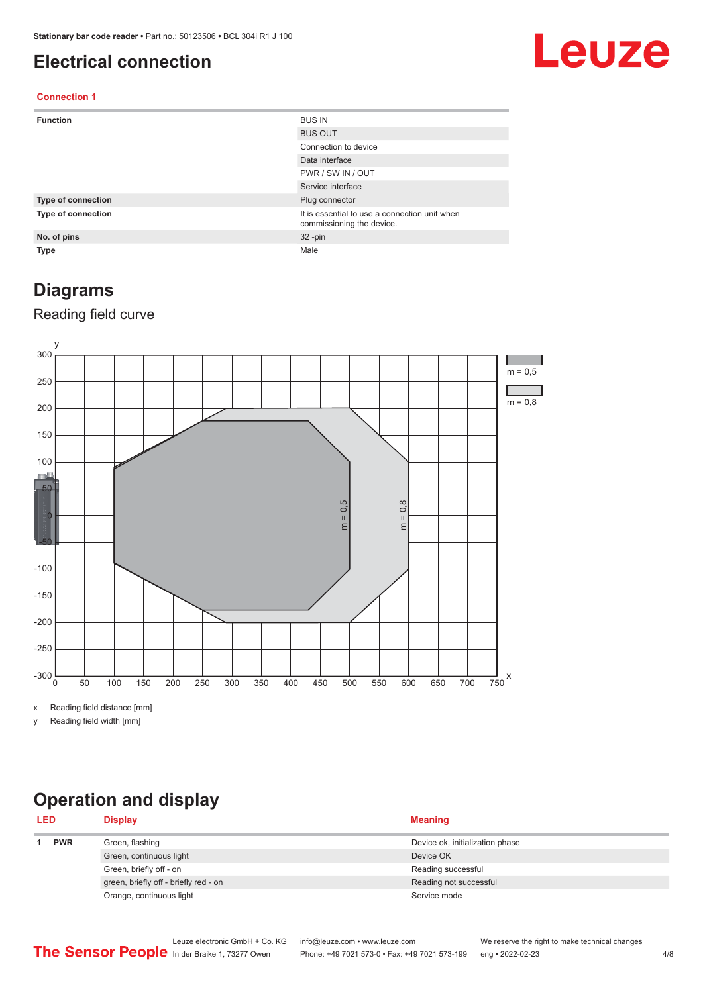#### <span id="page-3-0"></span>**Electrical connection**

# Leuze

#### **Connection 1**

| <b>Function</b>    | <b>BUS IN</b>                                                              |
|--------------------|----------------------------------------------------------------------------|
|                    | <b>BUS OUT</b>                                                             |
|                    | Connection to device                                                       |
|                    | Data interface                                                             |
|                    | PWR / SW IN / OUT                                                          |
|                    | Service interface                                                          |
| Type of connection | Plug connector                                                             |
| Type of connection | It is essential to use a connection unit when<br>commissioning the device. |
| No. of pins        | $32 - pin$                                                                 |
| Type               | Male                                                                       |

#### **Diagrams**

#### Reading field curve



x Reading field distance [mm]

y Reading field width [mm]

## **Operation and display**

| <b>LED</b> |            | <b>Display</b>                        | <b>Meaning</b>                  |
|------------|------------|---------------------------------------|---------------------------------|
|            | <b>PWR</b> | Green, flashing                       | Device ok, initialization phase |
|            |            | Green, continuous light               | Device OK                       |
|            |            | Green, briefly off - on               | Reading successful              |
|            |            | green, briefly off - briefly red - on | Reading not successful          |
|            |            | Orange, continuous light              | Service mode                    |
|            |            |                                       |                                 |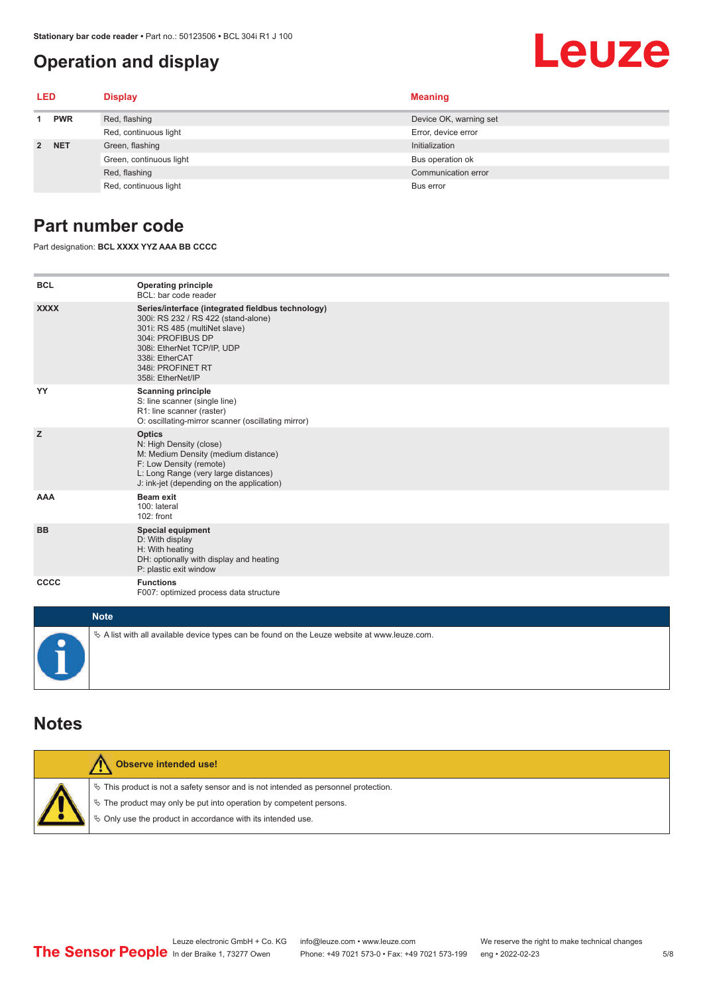### <span id="page-4-0"></span>**Operation and display**

# Leuze

| <b>LED</b>  |            | <b>Display</b>          | <b>Meaning</b>         |
|-------------|------------|-------------------------|------------------------|
|             | <b>PWR</b> | Red, flashing           | Device OK, warning set |
|             |            | Red, continuous light   | Error, device error    |
| $2^{\circ}$ | <b>NET</b> | Green, flashing         | Initialization         |
|             |            | Green, continuous light | Bus operation ok       |
|             |            | Red, flashing           | Communication error    |
|             |            | Red, continuous light   | Bus error              |

#### **Part number code**

Part designation: **BCL XXXX YYZ AAA BB CCCC**

| <b>BCL</b>         | <b>Operating principle</b><br>BCL: bar code reader                                                                                                                                                                                       |
|--------------------|------------------------------------------------------------------------------------------------------------------------------------------------------------------------------------------------------------------------------------------|
| <b>XXXX</b>        | Series/interface (integrated fieldbus technology)<br>300i: RS 232 / RS 422 (stand-alone)<br>301i: RS 485 (multiNet slave)<br>304i: PROFIBUS DP<br>308i: EtherNet TCP/IP, UDP<br>338i: EtherCAT<br>348i: PROFINET RT<br>358i: EtherNet/IP |
| YY                 | <b>Scanning principle</b><br>S: line scanner (single line)<br>R1: line scanner (raster)<br>O: oscillating-mirror scanner (oscillating mirror)                                                                                            |
| z                  | <b>Optics</b><br>N: High Density (close)<br>M: Medium Density (medium distance)<br>F: Low Density (remote)<br>L: Long Range (very large distances)<br>J: ink-jet (depending on the application)                                          |
| <b>AAA</b>         | <b>Beam exit</b><br>100: lateral<br>102: front                                                                                                                                                                                           |
| <b>BB</b>          | <b>Special equipment</b><br>D: With display<br>H: With heating<br>DH: optionally with display and heating<br>P: plastic exit window                                                                                                      |
| CCCC               | <b>Functions</b><br>F007: optimized process data structure                                                                                                                                                                               |
| <b>Sales State</b> |                                                                                                                                                                                                                                          |

| <b>Note</b>                                                                                  |
|----------------------------------------------------------------------------------------------|
| % A list with all available device types can be found on the Leuze website at www.leuze.com. |

#### **Notes**

| <b>Observe intended use!</b>                                                                                                                                                                                                  |
|-------------------------------------------------------------------------------------------------------------------------------------------------------------------------------------------------------------------------------|
| $\%$ This product is not a safety sensor and is not intended as personnel protection.<br>$\%$ The product may only be put into operation by competent persons.<br>₿ Only use the product in accordance with its intended use. |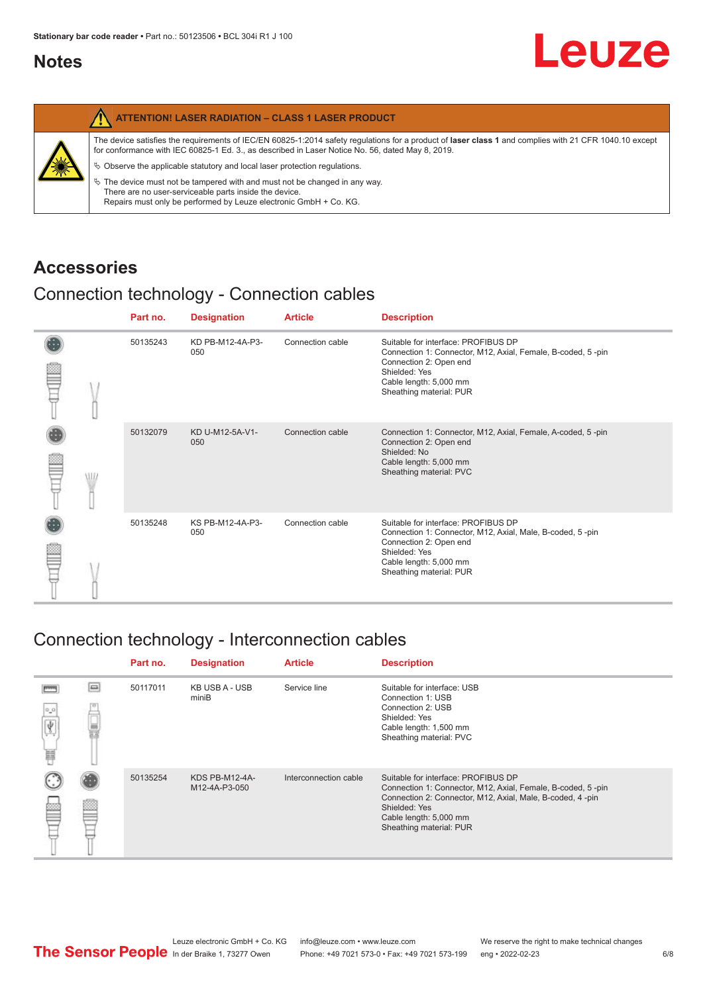#### <span id="page-5-0"></span>**Notes**

| The device satisfies the requirements of IEC/EN 60825-1:2014 safety requlations for a product of laser class 1 and complies with 21 CFR 1040.10 except<br>for conformance with IEC 60825-1 Ed. 3., as described in Laser Notice No. 56, dated May 8, 2019.<br>纂<br>$\%$ Observe the applicable statutory and local laser protection regulations.<br>$\%$ The device must not be tampered with and must not be changed in any way.<br>There are no user-serviceable parts inside the device.<br>Repairs must only be performed by Leuze electronic GmbH + Co. KG. | <b>ATTENTION! LASER RADIATION - CLASS 1 LASER PRODUCT</b> |
|------------------------------------------------------------------------------------------------------------------------------------------------------------------------------------------------------------------------------------------------------------------------------------------------------------------------------------------------------------------------------------------------------------------------------------------------------------------------------------------------------------------------------------------------------------------|-----------------------------------------------------------|
|                                                                                                                                                                                                                                                                                                                                                                                                                                                                                                                                                                  |                                                           |

#### **Accessories**

### Connection technology - Connection cables

|  |  | Part no. | <b>Designation</b>      | <b>Article</b>   | <b>Description</b>                                                                                                                                                                                 |
|--|--|----------|-------------------------|------------------|----------------------------------------------------------------------------------------------------------------------------------------------------------------------------------------------------|
|  |  | 50135243 | KD PB-M12-4A-P3-<br>050 | Connection cable | Suitable for interface: PROFIBUS DP<br>Connection 1: Connector, M12, Axial, Female, B-coded, 5-pin<br>Connection 2: Open end<br>Shielded: Yes<br>Cable length: 5,000 mm<br>Sheathing material: PUR |
|  |  | 50132079 | KD U-M12-5A-V1-<br>050  | Connection cable | Connection 1: Connector, M12, Axial, Female, A-coded, 5-pin<br>Connection 2: Open end<br>Shielded: No<br>Cable length: 5,000 mm<br>Sheathing material: PVC                                         |
|  |  | 50135248 | KS PB-M12-4A-P3-<br>050 | Connection cable | Suitable for interface: PROFIBUS DP<br>Connection 1: Connector, M12, Axial, Male, B-coded, 5-pin<br>Connection 2: Open end<br>Shielded: Yes<br>Cable length: 5,000 mm<br>Sheathing material: PUR   |

#### Connection technology - Interconnection cables

|                 |        | Part no. | <b>Designation</b>              | <b>Article</b>        | <b>Description</b>                                                                                                                                                                                                                    |
|-----------------|--------|----------|---------------------------------|-----------------------|---------------------------------------------------------------------------------------------------------------------------------------------------------------------------------------------------------------------------------------|
| $\alpha$ o<br>扁 | $\Box$ | 50117011 | KB USB A - USB<br>miniB         | Service line          | Suitable for interface: USB<br>Connection 1: USB<br>Connection 2: USB<br>Shielded: Yes<br>Cable length: 1,500 mm<br>Sheathing material: PVC                                                                                           |
|                 |        | 50135254 | KDS PB-M12-4A-<br>M12-4A-P3-050 | Interconnection cable | Suitable for interface: PROFIBUS DP<br>Connection 1: Connector, M12, Axial, Female, B-coded, 5-pin<br>Connection 2: Connector, M12, Axial, Male, B-coded, 4-pin<br>Shielded: Yes<br>Cable length: 5,000 mm<br>Sheathing material: PUR |

Leuze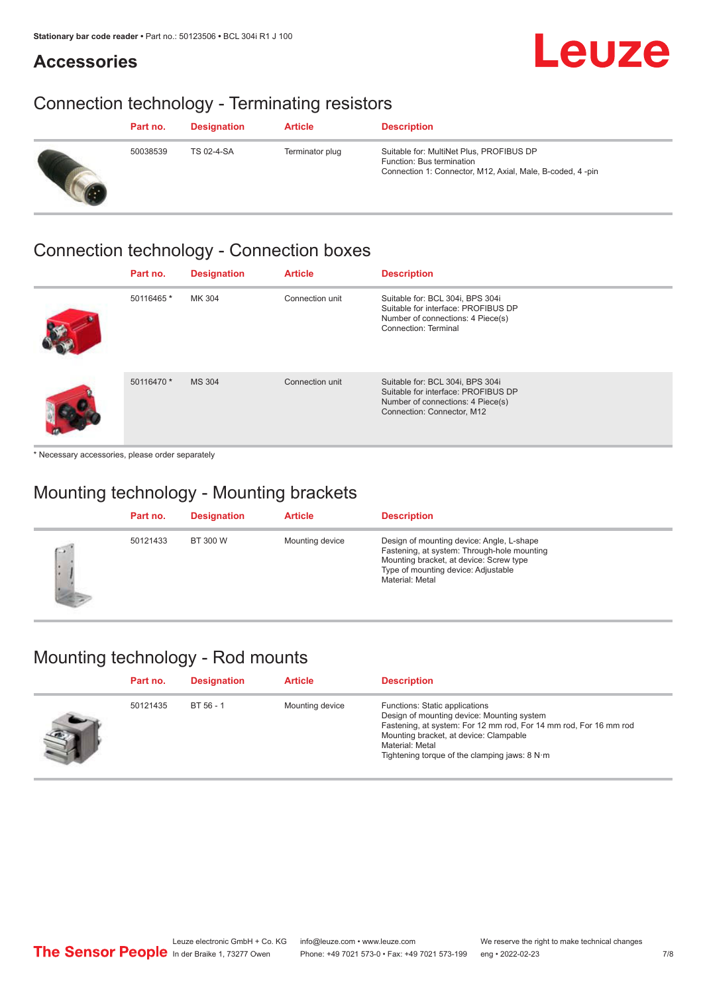**Accessories**

# Leuze

## Connection technology - Terminating resistors

| Part no. | <b>Designation</b> | <b>Article</b>  | <b>Description</b>                                                                                                                 |
|----------|--------------------|-----------------|------------------------------------------------------------------------------------------------------------------------------------|
| 50038539 | TS 02-4-SA         | Terminator plug | Suitable for: MultiNet Plus, PROFIBUS DP<br>Function: Bus termination<br>Connection 1: Connector, M12, Axial, Male, B-coded, 4-pin |

#### Connection technology - Connection boxes

| Part no.   | <b>Designation</b> | <b>Article</b>  | <b>Description</b>                                                                                                                         |
|------------|--------------------|-----------------|--------------------------------------------------------------------------------------------------------------------------------------------|
| 50116465*  | MK 304             | Connection unit | Suitable for: BCL 304i, BPS 304i<br>Suitable for interface: PROFIBUS DP<br>Number of connections: 4 Piece(s)<br>Connection: Terminal       |
| 50116470 * | <b>MS 304</b>      | Connection unit | Suitable for: BCL 304i, BPS 304i<br>Suitable for interface: PROFIBUS DP<br>Number of connections: 4 Piece(s)<br>Connection: Connector, M12 |

\* Necessary accessories, please order separately

### Mounting technology - Mounting brackets

|                      | Part no. | <b>Designation</b> | <b>Article</b>  | <b>Description</b>                                                                                                                                                                            |
|----------------------|----------|--------------------|-----------------|-----------------------------------------------------------------------------------------------------------------------------------------------------------------------------------------------|
| $\sqrt{2}$<br>۱۰<br> | 50121433 | BT 300 W           | Mounting device | Design of mounting device: Angle, L-shape<br>Fastening, at system: Through-hole mounting<br>Mounting bracket, at device: Screw type<br>Type of mounting device: Adjustable<br>Material: Metal |

## Mounting technology - Rod mounts

| Part no. | <b>Designation</b> | <b>Article</b>  | <b>Description</b>                                                                                                                                                                                                                                                |
|----------|--------------------|-----------------|-------------------------------------------------------------------------------------------------------------------------------------------------------------------------------------------------------------------------------------------------------------------|
| 50121435 | BT 56 - 1          | Mounting device | Functions: Static applications<br>Design of mounting device: Mounting system<br>Fastening, at system: For 12 mm rod, For 14 mm rod, For 16 mm rod<br>Mounting bracket, at device: Clampable<br>Material: Metal<br>Tightening torque of the clamping jaws: $8 N·m$ |